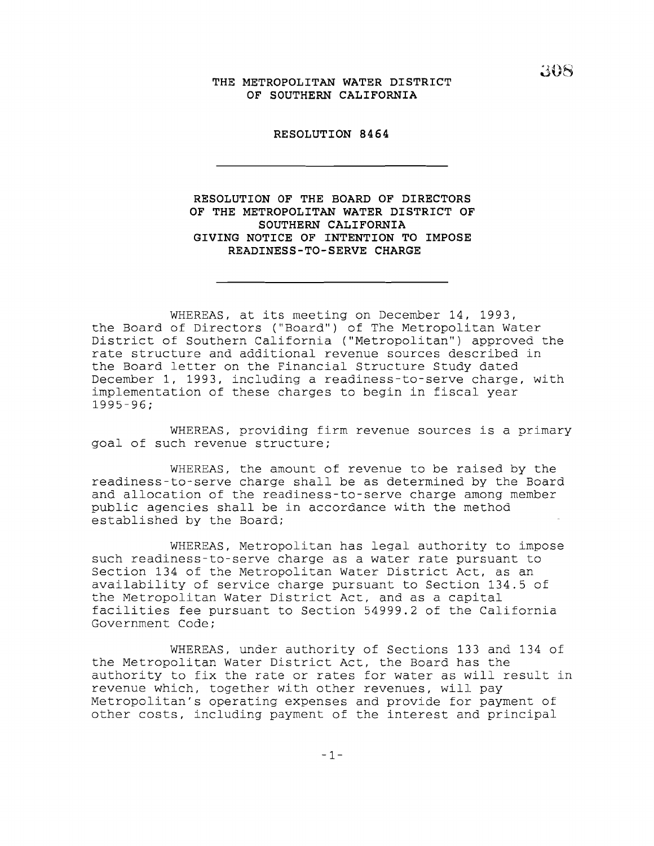## **J,08 THE METROPOLITAN WATER DISTRICT OF SOUTHERN CALIFORNIA**

### **RESOLUTION 8464**

**RESOLUTION OF THE BOARD OF DIRECTORS OF THE METROPOLITAN WATER DISTRICT OF SOUTHERN CALIFORNIA GIVING NOTICE OF INTENTION TO IMPOSE READINESS-TO-SERVE CHARGE**

WHEREAS, at its meeting on December 14, 1993, the Board of Directors ("Board") of The Metropolitan Water District of Southern California ("Metropolitan") approved the rate structure and additional revenue sources described in the Board letter on the Financial Structure Study dated December 1, 1993, including a readiness-to-serve charge, with implementation of these charges to begin in fiscal year 1995-96;

WHEREAS, providing firm revenue sources is <sup>a</sup> primary goal of such revenue structure;

WHEREAS, the amount of revenue to be raised by the readiness-to-serve charge shall be as determined by the Board and allocation of the readiness-to-serve charge among member public agencies shall be in accordance with the method established by the Board;

WHEREAS, Metropolitan has legal authority to impose such readiness-to-serve charge as a water rate pursuant to Section 134 of the Metropolitan Water District Act, as an availability of service charge pursuant to Section 134.5 of the Metropolitan Water District Act, and as <sup>a</sup> capital facilities fee pursuant to Section 54999.2 of the California Government Code;

WHEREAS, under authority of Sections 133 and 134 of the Metropolitan Water District Act, the Board has the authority to fix the rate or rates for water as will result in revenue which, together with other revenues, will pay Metropolitan's operating expenses and provide for payment of other costs, including payment of the interest and principal

-1-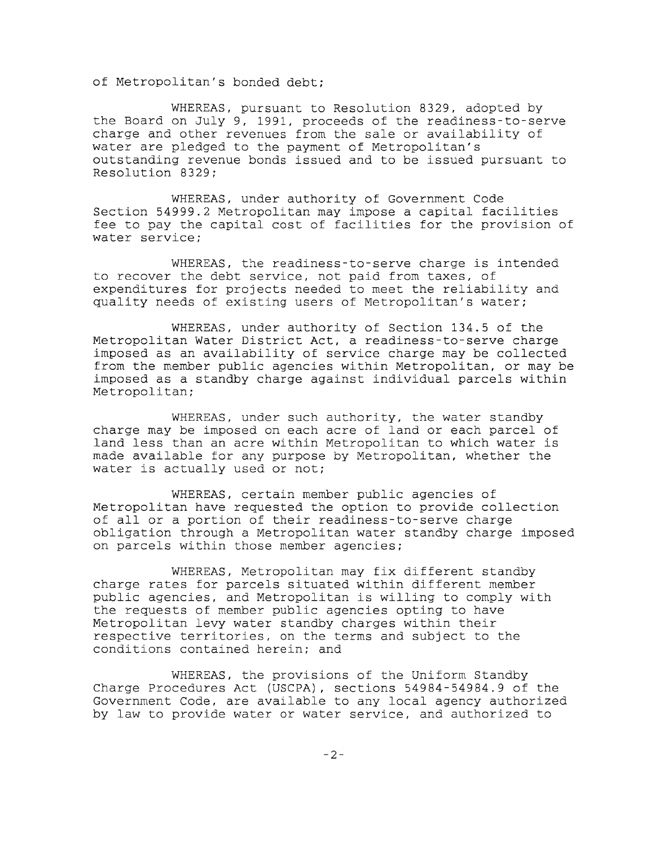of Metropolitan's bonded debt;

WHEREAS, pursuant to Resolution 8329, adopted by the Board on July 9, 1991, proceeds of the readiness-to-serve charge and other revenues from the sale or availability of water are pledged to the payment of Metropolitan's outstanding revenue bonds issued and to be issued pursuant to Resolution 8329;

WHEREAS, under authority of Government Code Section 54999.2 Metropolitan may impose <sup>a</sup> capital facilities fee to pay the capital cost of facilities for the provision of water service;

WHEREAS, the readiness-to-serve charge is intended to recover the debt service, not paid from taxes, of expenditures for projects needed to meet the reliability and quality needs of existing users of Metropolitan's water;

WHEREAS, under authority of Section 134.5 of the Metropolitan Water District Act, <sup>a</sup> readiness-to-serve charge imposed as an availability of service charge may be collected from the member public agencies within Metropolitan, or may be imposed as a standby charge against individual parcels within Metropolitan;

WHEREAS, under such authority, the water standby charge may be imposed on each acre of land or each parcel of land less than an acre within Metropolitan to which water is made available for any purpose by Metropolitan, whether the water is actually used or not;

WHEREAS, certain member public agencies of Metropolitan have requested the option to provide collection of all or <sup>a</sup> portion of their readiness-to-serve charge obligation through a Metropolitan water standby charge imposed on parcels within those member agencies;

WHEREAS, Metropolitan may fix different standby charge rates for parcels situated within different member public agencies, and Metropolitan is willing to comply with the requests of member public agencies opting to have Metropolitan levy water standby charges within their respective territories, on the terms and subject to the conditions contained herein; and

WHEREAS, the provisions of the Uniform Standby Charge Procedures Act (USCPA), sections 54984-54984.9 of the Government Code, are available to any local agency authorized by law to provide water or water service, and authorized to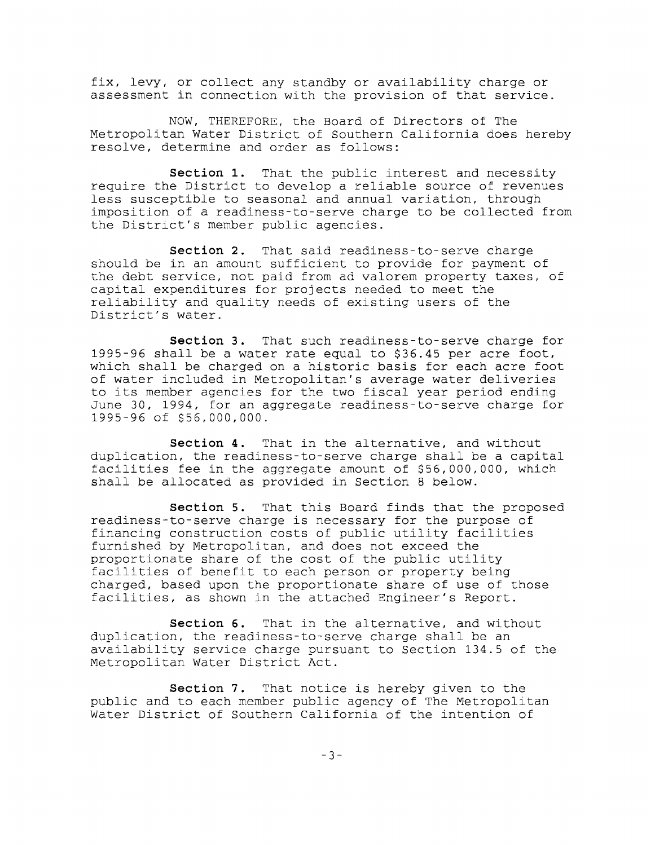fix, levy, or collect any standby or availability charge or assessment in connection with the provision of that service.

NOW, THEREFORE, the Board of Directors of The Metropolitan Water District of Southern California does hereby resolve, determine and order as follows:

**Section 1.** That the public interest and necessity require the District to develop <sup>a</sup> reliable source of revenues less susceptible to seasonal and annual variation, through imposition of a readiness-to-serve charge to be collected from the District's member public agencies.

**Section 2.** That said readiness-to-serve charge should be in an amount sufficient to provide for payment of the debt service, not paid from ad valorem property taxes, of capital expenditures for projects needed to meet the reliability and quality needs of existing users of the District's water.

**Section 3.** That such readiness-to-serve charge for 1995-96 shall be <sup>a</sup> water rate equal to \$36.45 per acre foot, which shall be charged on <sup>a</sup> historic basis for each acre foot of water included in Metropolitan's average water deliveries to its member agencies for the two fiscal year period ending June 30, 1994, for an aggregate readiness-to-serve charge for 1995-96 of \$56,000,000.

**Section 4.** That in the alternative, and without duplication, the readiness-to-serve charge shall be <sup>a</sup> capital facilities fee in the aggregate amount of \$56,000,000, which shall be allocated as provided in Section <sup>8</sup> below.

**Section 5.** That this Board finds that the proposed readiness-to-serve charge is necessary for the purpose of financing construction costs of public utility facilities furnished by Metropolitan, and does not exceed the proportionate share of the cost of the public utility facilities of benefit to each person or property being charged, based upon the proportionate share of use of those facilities, as shown in the attached Engineer's Report.

**Section 6.** That in the alternative, and without duplication, the readiness-to-serve charge shall be an availability service charge pursuant to Section 134.5 of the Metropolitan Water District Act.

**Section 7.** That notice is hereby given to the public and to each member public agency of The Metropolitan Water District of Southern California of the intention of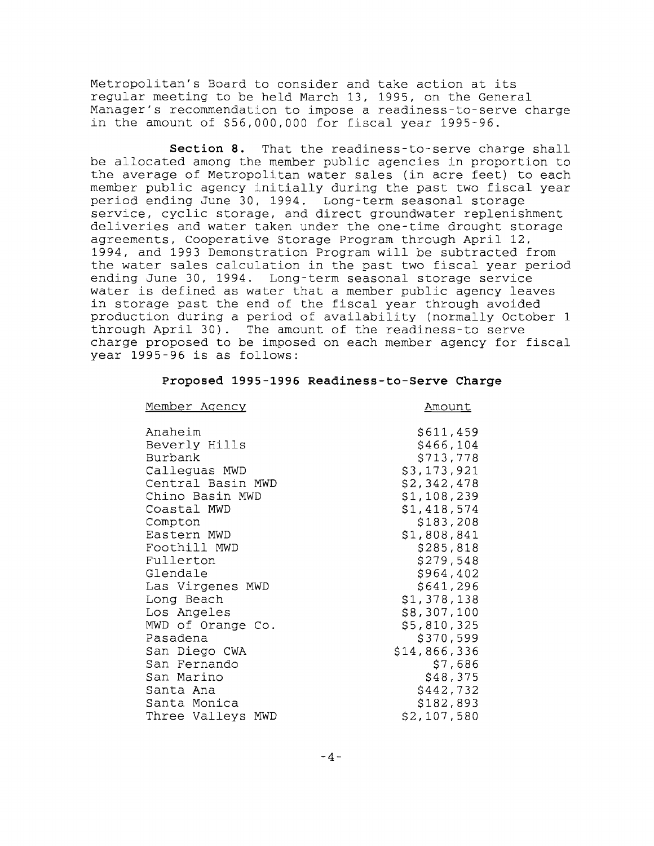Metropolitan's Board to consider and take action at its regular meeting to be held March 13, 1995, on the General Manager's recommendation to impose a readiness-to-serve charge in the amount of \$56,000,000 for fiscal year 1995-96.

**Section 8.** That the readiness-to-serve charge shall be allocated among the member public agencies in proportion to the average of Metropolitan water sales (in acre feet) to each member public agency initially during the past two fiscal year period ending June 30, 1994. Long-term seasonal storage service, cyclic storage, and direct groundwater replenishment deliveries and water taken under the one-time drought storage agreements, Cooperative Storage Program through April 12, 1994, and 1993 Demonstration Program will be subtracted from the water sales calculation in the past two fiscal year period ending June 30, 1994. Long-term seasonal storage service water is defined as water that <sup>a</sup> member public agency leaves in storage past the end of the fiscal year through avoided production during <sup>a</sup> period of availability (normally October <sup>1</sup> through April 30). The amount of the readiness-to serve charge proposed to be imposed on each member agency for fiscal year 1995-96 is as follows:

#### **Proposed 1995-1996 Readiness-to-Serve Charge**

#### Member Agency

# Amount

| Anaheim           | \$611,459    |
|-------------------|--------------|
| Beverly Hills     | \$466,104    |
| Burbank           | \$713,778    |
| Calleguas MWD     | \$3,173,921  |
| Central Basin MWD | \$2,342,478  |
| Chino Basin MWD   | \$1,108,239  |
| Coastal MWD       | \$1,418,574  |
| Compton           | \$183,208    |
| Eastern MWD       | \$1,808,841  |
| Foothill MWD      | \$285,818    |
| Fullerton         | \$279,548    |
| Glendale          | \$964,402    |
| Las Virgenes MWD  | \$641,296    |
| Long Beach        | \$1,378,138  |
| Los Angeles       | \$8,307,100  |
| MWD of Orange Co. | \$5,810,325  |
| Pasadena          | \$370,599    |
| San Diego CWA     | \$14,866,336 |
| San Fernando      | \$7,686      |
| San Marino        | \$48,375     |
| Santa Ana         | \$442,732    |
| Santa Monica      | \$182,893    |
| Three Valleys MWD | \$2,107,580  |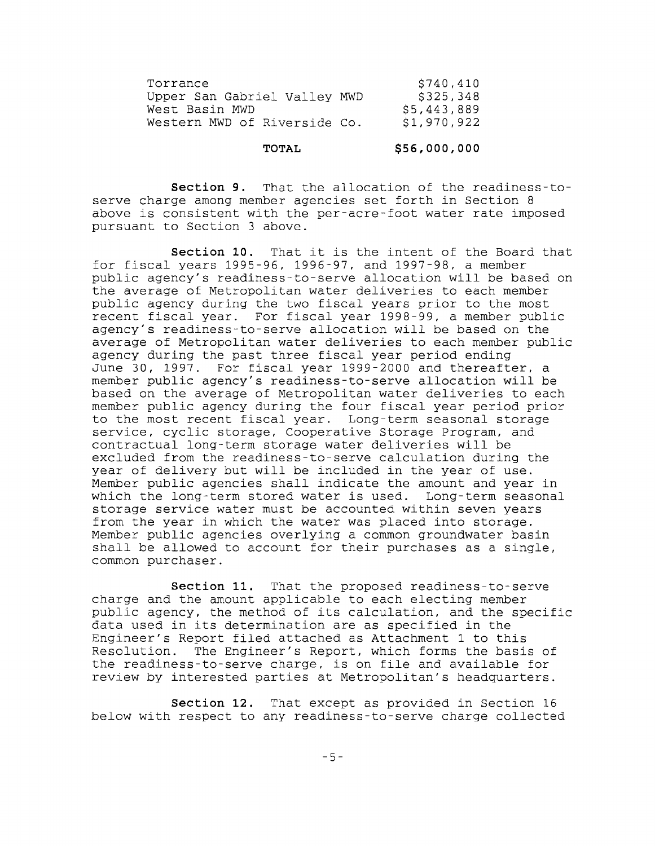| Torrance                     | \$740,410   |
|------------------------------|-------------|
| Upper San Gabriel Valley MWD | \$325,348   |
| West Basin MWD               | \$5,443,889 |
| Western MWD of Riverside Co. | \$1,970,922 |

#### **TOTAL \$56,000,000**

**Section 9.** That the allocation of the readiness-toserve charge among member agencies set forth in Section <sup>8</sup> above is consistent with the per-acre-foot water rate imposed pursuant to Section 3 above.

**Section 10.** That it is the intent of the Board that for fiscal years 1995-96, 1996-97, and 1997-98, <sup>a</sup> member public agency's readiness-to-serve allocation will be based on the average of Metropolitan water deliveries to each member public agency during the two fiscal years prior to the most recent fiscal year. For fiscal year 1998-99, <sup>a</sup> member public agency's readiness-to-serve allocation will be based on the average of Metropolitan water deliveries to each member public agency during the past three fiscal year period ending June 30, 1997. For fiscal year 1999-2000 and thereafter, <sup>a</sup> member public agency's readiness-to-serve allocation will be based on the average of Metropolitan water deliveries to each member public agency during the four fiscal year period prior to the most recent fiscal year. Long-term seasonal storage service, cyclic storage, Cooperative Storage Program, and contractual long-term storage water deliveries will be excluded from the readiness-to-serve calculation during the year of delivery but will be included in the year of use. Member public agencies shall indicate the amount and year in which the long-term stored water is used. Long-term seasonal which the long-term stored water is used. storage service water must be accounted within seven years from the year in which the water was placed into storage. Member public agencies overlying a common groundwater basin shall be allowed to account for their purchases as <sup>a</sup> single, common purchaser.

**Section 11.** That the proposed readiness-to-serve charge and the amount applicable to each electing member public agency, the method of its calculation, and the specific data used in its determination are as specified in the Engineer's Report filed attached as Attachment <sup>1</sup> to this Resolution. The Engineer's Report, which forms the basis of the readiness-to-serve charge, is on file and available for review by interested parties at Metropolitan's headquarters.

**Section 12.** That except as provided in Section 16 below with respect to any readiness-to-serve charge collected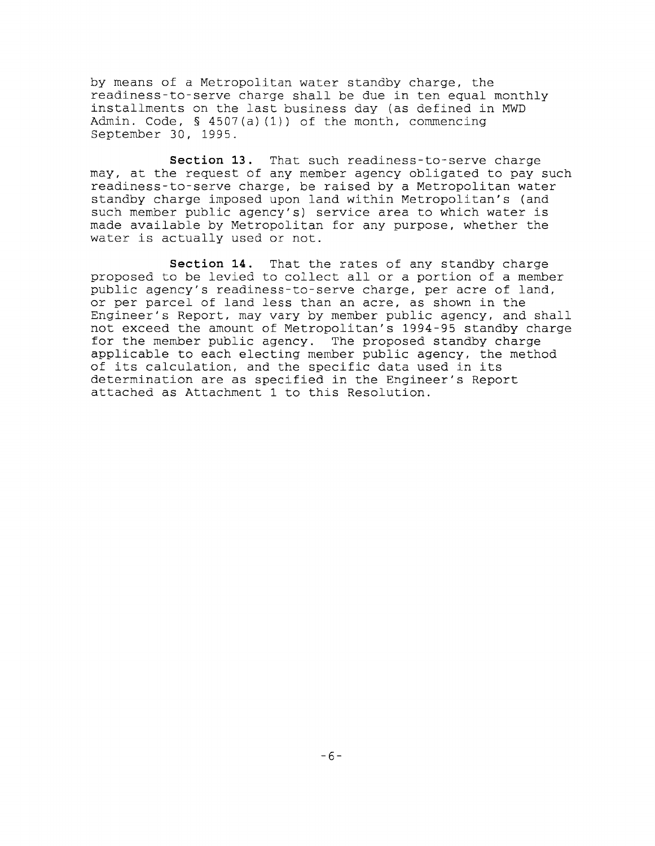by means of a Metropolitan water standby charge, the readiness-to-serve charge shall be due in ten equal monthly installments on the last business day (as defined in MWD Admin. Code, § 4507(a) (1)) of the month, commencing September 30, 1995.

**Section 13.** That such readiness-to-serve charge may, at the request of any member agency obligated to pay such readiness-to-serve charge, be raised by a Metropolitan water standby charge imposed upon land within Metropolitan's (and such member public agency's) service area to which water is made available by Metropolitan for any purpose, whether the water is actually used or not.

**Section 14.** That the rates of any standby charge proposed to be levied to collect all or <sup>a</sup> portion of <sup>a</sup> member public agency's readiness-to-serve charge, per acre of land, or per parcel of land less than an acre, as shown in the Engineer's Report, may vary by member public agency, and shall not exceed the amount of Metropolitan's 1994-95 standby charge for the member public agency. The proposed standby charge applicable to each electing member public agency, the method of its calculation, and the specific data used in its determination are as specified in the Engineer's Report attached as Attachment <sup>1</sup> to this Resolution.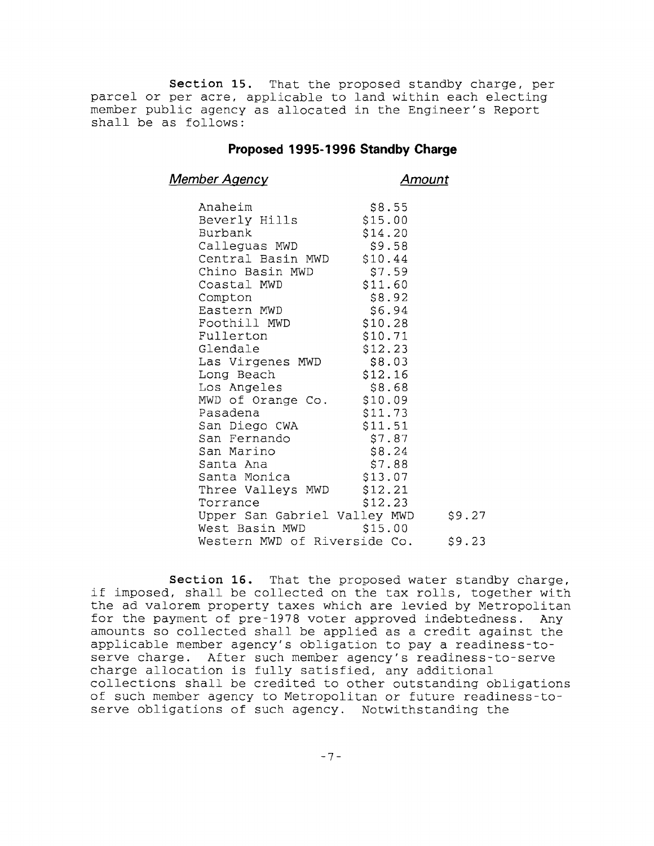**Section 15.** That the proposed standby charge, per parcel or per acre, applicable to land within each electing member public agency as allocated in the Engineer's Report shall be as follows:

### **Proposed 1995-1996 Standby Charge**

**Member Agency Amount**

| Anaheim                      | \$8.55  |        |
|------------------------------|---------|--------|
| Beverly Hills                | \$15.00 |        |
| Burbank                      | \$14.20 |        |
| Calleguas MWD                | \$9.58  |        |
| Central Basin MWD \$10.44    |         |        |
| Chino Basin MWD              | \$7.59  |        |
| Coastal MWD                  | \$11.60 |        |
| Compton                      | \$8.92  |        |
| Eastern MWD                  |         |        |
|                              | \$6.94  |        |
| Foothill MWD                 | \$10.28 |        |
| Fullerton                    | \$10.71 |        |
| Glendale                     | \$12.23 |        |
| Las Virgenes MWD             | \$8.03  |        |
| Long Beach                   | \$12.16 |        |
| Los Angeles                  | \$8.68  |        |
| MWD of Orange Co. \$10.09    |         |        |
| Pasadena                     | \$11.73 |        |
| San Diego CWA                | \$11.51 |        |
| San Fernando                 | \$7.87  |        |
| San Marino                   | \$8.24  |        |
| Santa Ana                    | \$7.88  |        |
| Santa Monica                 | \$13.07 |        |
|                              |         |        |
| Three Valleys MWD            | \$12.21 |        |
| Torrance                     | \$12.23 |        |
| Upper San Gabriel Valley MWD |         | \$9.27 |
| West Basin MWD               | \$15.00 |        |
| Western MWD of Riverside Co. |         | \$9.23 |

**Section 16.** That the proposed water standby charge, if imposed, shall be collected on the tax rolls, together with the ad valorem property taxes which are levied by Metropolitan for the payment of pre-1978 voter approved indebtedness. Any amounts so collected shall be applied as <sup>a</sup> credit against the applicable member agency's obligation to pay a readiness-toserve charge. After such member agency's readiness-to-serve charge allocation is fully satisfied, any additional collections shall be credited to other outstanding obligations of such member agency to Metropolitan or future readiness-toserve obligations of such agency. Notwithstanding the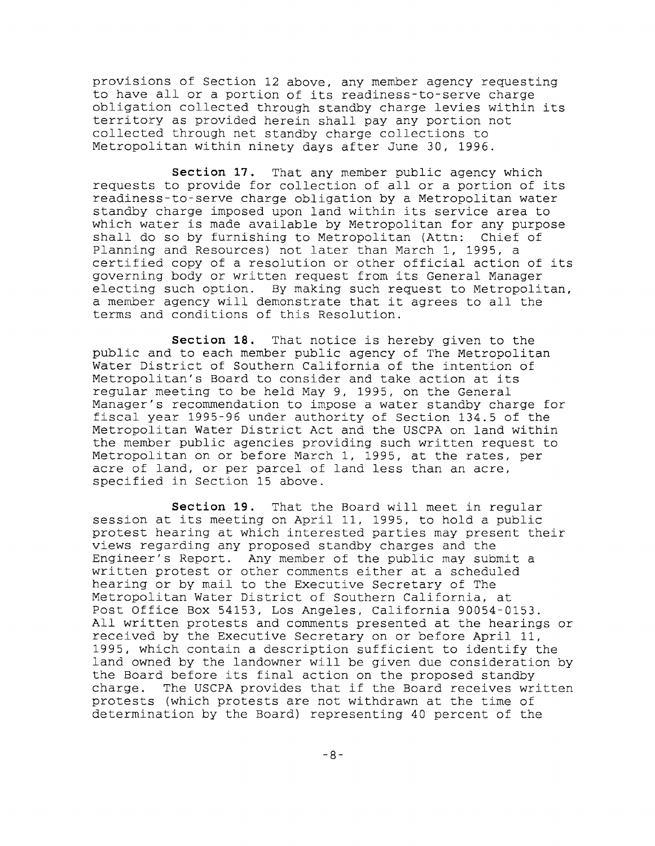provisions of Section 12 above, any member agency requesting to have all or <sup>a</sup> portion of its readiness-to-serve charge obligation collected through standby charge levies within its territory as provided herein shall pay any portion not collected through net standby charge collections to Metropolitan within ninety days after June 30, 1996.

**Section 17.** That any member public agency which requests to provide for collection of all or <sup>a</sup> portion of its readiness-to-serve charge obligation by a Metropolitan water standby charge imposed upon land within its service area to which water is made available by Metropolitan for any purpose shall do so by furnishing to Metropolitan (Attn: Chief of Planning and Resources) not later than March 1, 1995, <sup>a</sup> certified copy of <sup>a</sup> resolution or other official action of its governing body or written request from its General Manager electing such option. By making such request to Metropolitan, <sup>a</sup> member agency will demonstrate that it agrees to all the terms and conditions of this Resolution.

**Section 18.** That notice is hereby given to the public and to each member public agency of The Metropolitan Water District of Southern California of the intention of Metropolitan's Board to consider and take action at its regular meeting to be held May 9, 1995, on the General Manager's recommendation to impose a water standby charge for fiscal year 1995-96 under authority of Section 134.5 of the Metropolitan Water District Act and the USCPA on land within the member public agencies providing such written request to Metropolitan on or before March 1, 1995, at the rates, per acre of land, or per parcel of land less than an acre, specified in Section 15 above.

**Section 19.** That the Board will meet in regular session at its meeting on April 11, 1995, to hold <sup>a</sup> public protest hearing at which interested parties may present their views regarding any proposed standby charges and the Engineer's Report. Any member of the public may submit a written protest or other comments either at a scheduled hearing or by mail to the Executive Secretary of The Metropolitan Water District of Southern California, at Post Office Box 54153, Los Angeles, California 90054-0153. All written protests and comments presented at the hearings or received by the Executive Secretary on or before April 11, 1995, which contain <sup>a</sup> description sufficient to identify the land owned by the landowner will be given due consideration by the Board before its final action on the proposed standby<br>charge. The USCPA provides that if the Board receives wr The USCPA provides that if the Board receives written protests (which protests are not withdrawn at the time of determination by the Board) representing 40 percent of the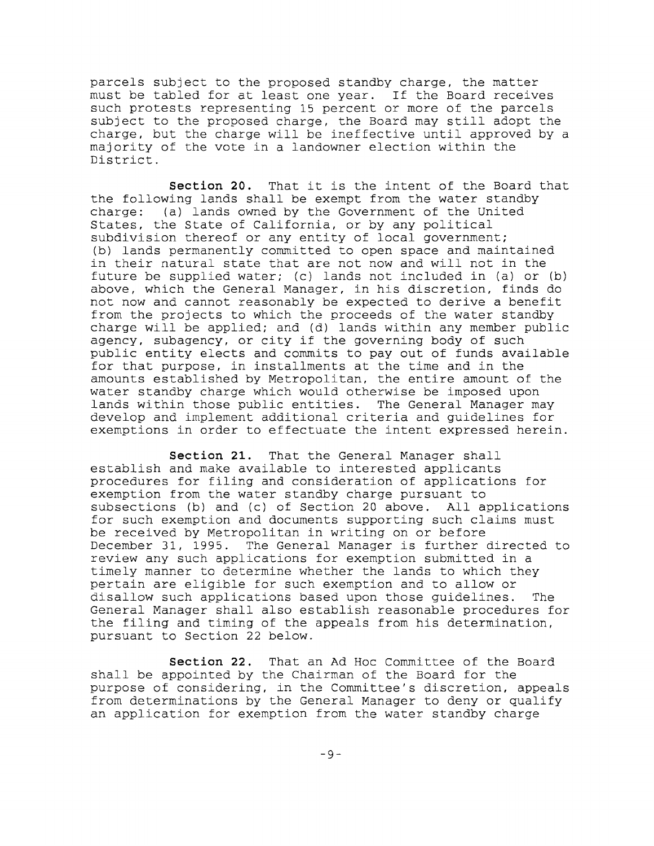parcels subject to the proposed standby charge, the matter must be tabled for at least one year. If the Board receives such protests representing 15 percent or more of the parcels subject to the proposed charge, the Board may still adopt the charge, but the charge will be ineffective until approved by <sup>a</sup> majority of the vote in a landowner election within the District.

**Section 20.** That it is the intent of the Board that the following lands shall be exempt from the water standby charge: (a) lands owned by the Government of the United States, the State of California, or by any political subdivision thereof or any entity of local government; (b) lands permanently committed to open space and maintained in their natural state that are not now and will not in the future be supplied water; (c) lands not included in (a) or (b) above, which the General Manager, in his discretion, finds do not now and cannot reasonably be expected to derive a benefit from the projects to which the proceeds of the water standby charge will be applied; and (d) lands within any member public agency, subagency, or city if the governing body of such public entity elects and commits to payout of funds available for that purpose, in installments at the time and in the amounts established by Metropolitan, the entire amount of the water standby charge which would otherwise be imposed upon lands within those public entities. The General Manager may develop and implement additional criteria and guidelines for exemptions in order to effectuate the intent expressed herein.

**Section 21.** That the General Manager shall establish and make available to interested applicants procedures for filing and consideration of applications for exemption from the water standby charge pursuant to subsections (b) and (c) **of** Section 20 above. All applications for such exemption and documents supporting such claims must be received by Metropolitan in writing on or before December 31, 1995. The General Manager is further directed to review any such applications for exemption submitted in a timely manner to determine whether the lands to which they pertain are eligible for such exemption and to allow or disallow such applications based upon those guidelines. The General Manager shall also establish reasonable procedures for the filing and timing of the appeals from his determination, pursuant to Section 22 below.

**Section 22.** That an Ad Hoc Committee of the Board shall be appointed by the Chairman of the Board for the purpose of considering, in the Committee's discretion, appeals from determinations by the General Manager to deny or qualify an application for exemption from the water standby charge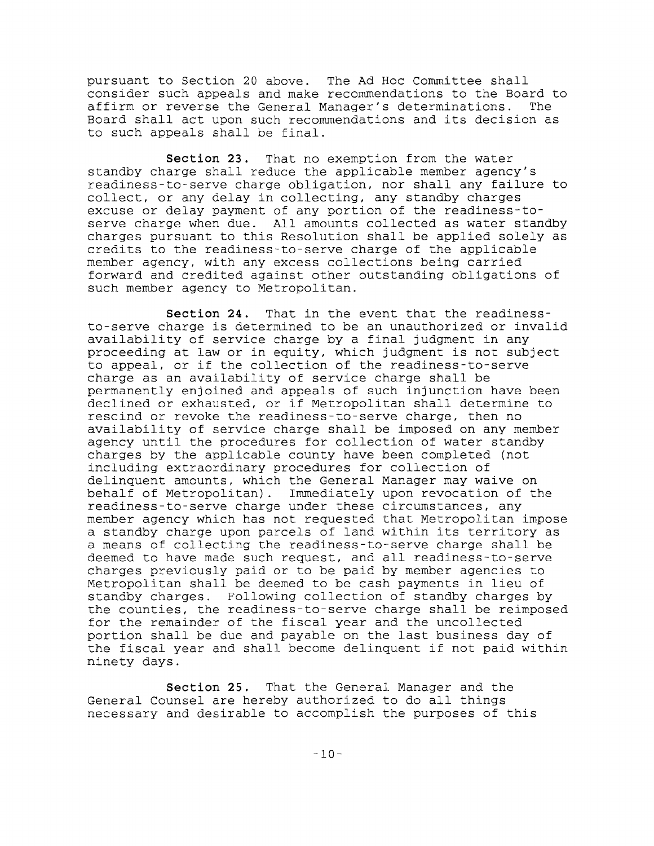pursuant to Section <sup>20</sup> above. The Ad Hoc Committee shall consider such appeals and make recommendations to the Board to<br>affirm or reverse the General Manager's determinations. The affirm or reverse the General Manager's determinations. Board shall act upon such recommendations and its decision as to such appeals shall be final.

**Section 23.** That no exemption from the water standby charge shall reduce the applicable member agency's readiness-to-serve charge obligation, nor shall any failure to collect, or any delay in collecting, any standby charges excuse or delay payment of any portion of the readiness-toserve charge when due. All amounts collected as water standby charges pursuant to this Resolution shall be applied solely as credits to the readiness-to-serve charge of the applicable member agency, with any excess collections being carried forward and credited against other outstanding obligations of such member agency to Metropolitan.

**Section 24.** That in the event that the readinessto-serve charge is determined to be an unauthorized or invalid availability of service charge by <sup>a</sup> final judgment in any proceeding at law or in equity, which judgment is not subject to appeal, or if the collection of the readiness-to-serve charge as an availability of service charge shall be permanently enjoined and appeals of such injunction have been declined or exhausted, or if Metropolitan shall determine to rescind or revoke the readiness-to-serve charge, then no availability of service charge shall be imposed on any member agency until the procedures for collection of water standby charges by the applicable county have been completed (not including extraordinary procedures for collection of delinquent amounts, which the General Manager may waive on behalf of Metropolitan). Immediately upon revocation of the readiness-to-serve charge under these circumstances, any member agency which has not requested that Metropolitan impose <sup>a</sup> standby charge upon parcels of land within its territory as a means of collecting the readiness-to-serve charge shall be deemed to have made such request, and all readiness-to-serve charges previously paid or to be paid by member agencies to Metropolitan shall be deemed to be cash payments in lieu of standby charges. Following collection of standby charges by the counties, the readiness-to-serve charge shall be reimposed for the remainder of the fiscal year and the uncollected portion shall be due and payable on the last business day of the fiscal year and shall become delinquent if not paid within ninety days.

**Section 25.** That the General Manager and the General Counsel are hereby authorized to do all things necessary and desirable to accomplish the purposes of this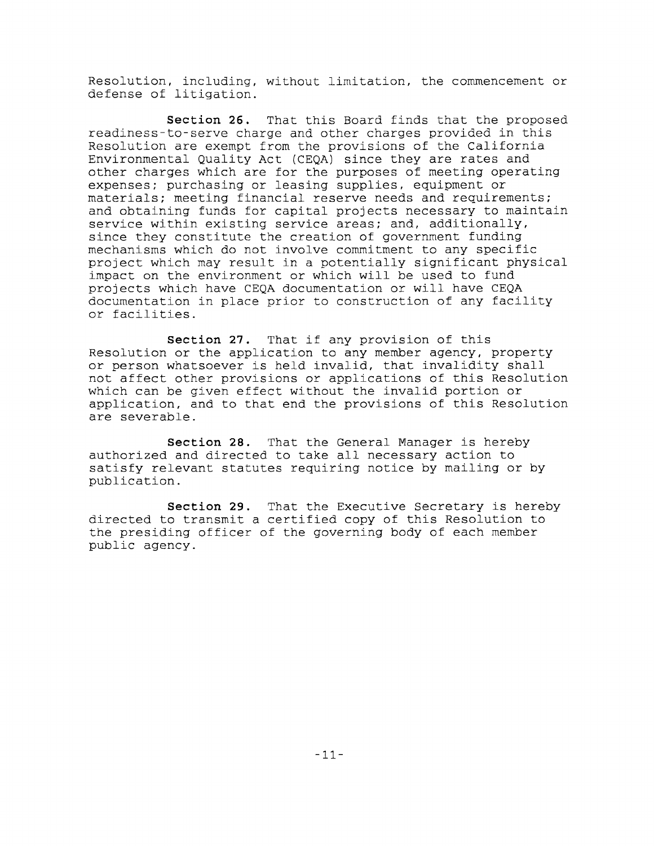Resolution, including, without limitation, the commencement or defense of litigation.

**Section 26.** That this Board finds that the proposed readiness-to-serve charge and other charges provided in this Resolution are exempt from the provisions of the California Environmental Quality Act (CEQA) since they are rates and other charges which are for the purposes of meeting operating expenses; purchasing or leasing supplies, equipment or materials; meeting financial reserve needs and requirements; and obtaining funds for capital projects necessary to maintain service within existing service areas; and, additionally, since they constitute the creation of government funding mechanisms which do not involve commitment to any specific project which may result in <sup>a</sup> potentially significant physical impact on the environment or which will be used to fund projects which have CEQA documentation or will have CEQA documentation in place prior to construction of any facility or facilities.

**Section 27.** That if any provision of this Resolution or the application to any member agency, property or person whatsoever is held invalid, that invalidity shall not affect other provisions or applications of this Resolution which can be given effect without the invalid portion or application, and to that end the provisions of this Resolution are severable.

**Section 28.** That the General Manager is hereby authorized and directed to take all necessary action to satisfy relevant statutes requiring notice by mailing or by publication.

**Section 29.** That the Executive Secretary is hereby directed to transmit <sup>a</sup> certified copy of this Resolution to the presiding officer of the governing body of each member public agency.